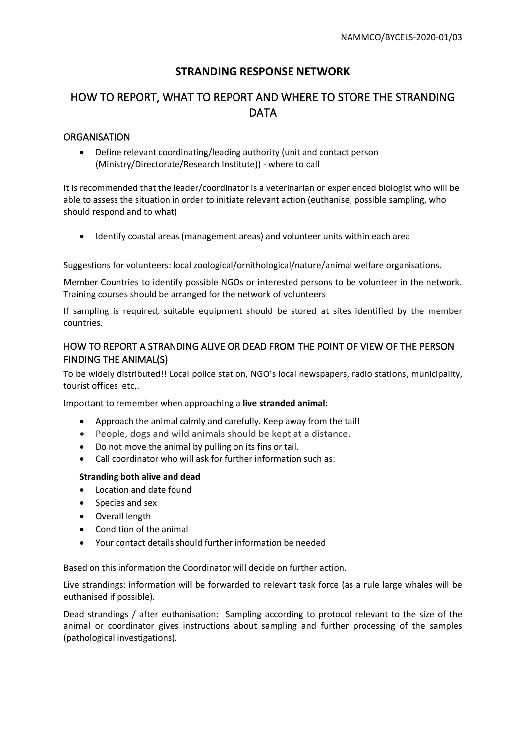## **STRANDING RESPONSE NETWORK**

# HOW TO REPORT, WHAT TO REPORT AND WHERE TO STORE THE STRANDING DATA

### **ORGANISATION**

• Define relevant coordinating/leading authority (unit and contact person (Ministry/Directorate/Research Institute)) - where to call

It is recommended that the leader/coordinator is a veterinarian or experienced biologist who will be able to assess the situation in order to initiate relevant action (euthanise, possible sampling, who should respond and to what)

• Identify coastal areas (management areas) and volunteer units within each area

Suggestions for volunteers: local zoological/ornithological/nature/animal welfare organisations.

Member Countries to identify possible NGOs or interested persons to be volunteer in the network. Training courses should be arranged for the network of volunteers

If sampling is required, suitable equipment should be stored at sites identified by the member countries.

### HOW TO REPORT A STRANDING ALIVE OR DEAD FROM THE POINT OF VIEW OF THE PERSON FINDING THE ANIMAL(S)

To be widely distributed!! Local police station, NGO's local newspapers, radio stations, municipality, tourist offices etc,.

Important to remember when approaching a **live stranded animal**:

- Approach the animal calmly and carefully. Keep away from the tail!
- People, dogs and wild animals should be kept at a distance.
- Do not move the animal by pulling on its fins or tail.
- Call coordinator who will ask for further information such as:

#### **Stranding both alive and dead**

- Location and date found
- Species and sex
- Overall length
- Condition of the animal
- Your contact details should further information be needed

Based on this information the Coordinator will decide on further action.

Live strandings: information will be forwarded to relevant task force (as a rule large whales will be euthanised if possible).

Dead strandings / after euthanisation: Sampling according to protocol relevant to the size of the animal or coordinator gives instructions about sampling and further processing of the samples (pathological investigations).